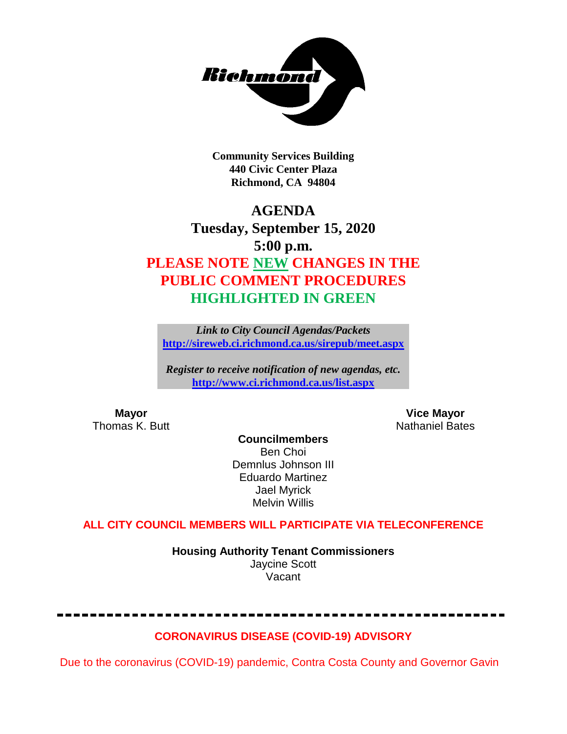

**Community Services Building 440 Civic Center Plaza Richmond, CA 94804**

# **AGENDA Tuesday, September 15, 2020 5:00 p.m. PLEASE NOTE NEW CHANGES IN THE PUBLIC COMMENT PROCEDURES HIGHLIGHTED IN GREEN**

*Link to City Council Agendas/Packets* **<http://sireweb.ci.richmond.ca.us/sirepub/meet.aspx>**

*Register to receive notification of new agendas, etc.* **<http://www.ci.richmond.ca.us/list.aspx>**

**Mayor Mayor Wice Mayor Vice Mayor Vice Mayor Vice Mayor Vice Mayor Vice Mayor Vice Mayor Vice Mayor Vice Mayor Vice Mayor Vice Mayor Vice Mayor Vice Mayor Vice Mayor Vice Mayor Vice Mayor** Nathaniel Bates

**Councilmembers** Ben Choi Demnlus Johnson III Eduardo Martinez Jael Myrick Melvin Willis

### **ALL CITY COUNCIL MEMBERS WILL PARTICIPATE VIA TELECONFERENCE**

**Housing Authority Tenant Commissioners** Jaycine Scott Vacant

#### **CORONAVIRUS DISEASE (COVID-19) ADVISORY**

Due to the coronavirus (COVID-19) pandemic, Contra Costa County and Governor Gavin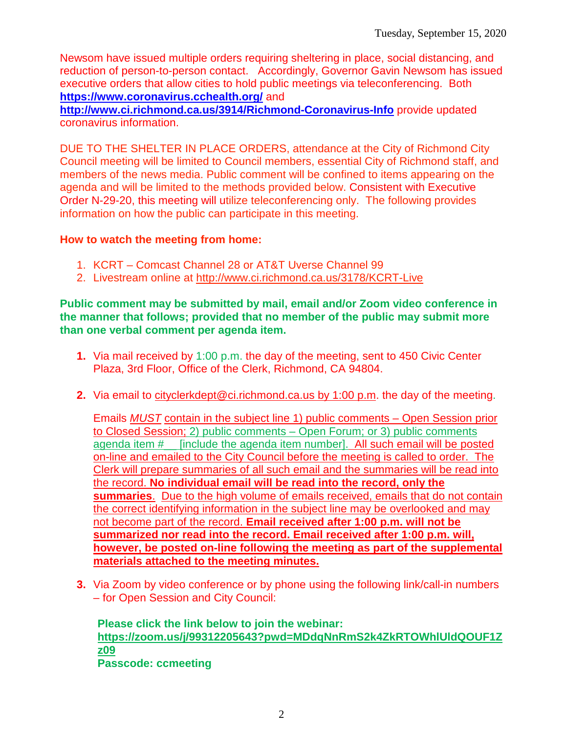Newsom have issued multiple orders requiring sheltering in place, social distancing, and reduction of person-to-person contact. Accordingly, Governor Gavin Newsom has issued executive orders that allow cities to hold public meetings via teleconferencing. Both **<https://www.coronavirus.cchealth.org/>** and

**<http://www.ci.richmond.ca.us/3914/Richmond-Coronavirus-Info>** provide updated coronavirus information.

DUE TO THE SHELTER IN PLACE ORDERS, attendance at the City of Richmond City Council meeting will be limited to Council members, essential City of Richmond staff, and members of the news media. Public comment will be confined to items appearing on the agenda and will be limited to the methods provided below. Consistent with Executive Order N-29-20, this meeting will utilize teleconferencing only. The following provides information on how the public can participate in this meeting.

#### **How to watch the meeting from home:**

- 1. KCRT Comcast Channel 28 or AT&T Uverse Channel 99
- 2. Livestream online at<http://www.ci.richmond.ca.us/3178/KCRT-Live>

**Public comment may be submitted by mail, email and/or Zoom video conference in the manner that follows; provided that no member of the public may submit more than one verbal comment per agenda item.** 

- **1.** Via mail received by 1:00 p.m. the day of the meeting, sent to 450 Civic Center Plaza, 3rd Floor, Office of the Clerk, Richmond, CA 94804.
- **2.** Via email to [cityclerkdept@ci.richmond.ca.us](mailto:cityclerkdept@ci.richmond.ca.us) by 1:00 p.m. the day of the meeting.

Emails *MUST* contain in the subject line 1) public comments – Open Session prior to Closed Session; 2) public comments – Open Forum; or 3) public comments agenda item #\_\_ [include the agenda item number]. All such email will be posted on-line and emailed to the City Council before the meeting is called to order. The Clerk will prepare summaries of all such email and the summaries will be read into the record. **No individual email will be read into the record, only the summaries**. Due to the high volume of emails received, emails that do not contain the correct identifying information in the subject line may be overlooked and may not become part of the record. **Email received after 1:00 p.m. will not be summarized nor read into the record. Email received after 1:00 p.m. will, however, be posted on-line following the meeting as part of the supplemental materials attached to the meeting minutes.**

**3.** Via Zoom by video conference or by phone using the following link/call-in numbers – for Open Session and City Council:

**Please click the link below to join the webinar: [https://zoom.us/j/99312205643?pwd=MDdqNnRmS2k4ZkRTOWhlUldQOUF1Z](https://zoom.us/j/99312205643?pwd=MDdqNnRmS2k4ZkRTOWhlUldQOUF1Zz09) [z09](https://zoom.us/j/99312205643?pwd=MDdqNnRmS2k4ZkRTOWhlUldQOUF1Zz09) Passcode: ccmeeting**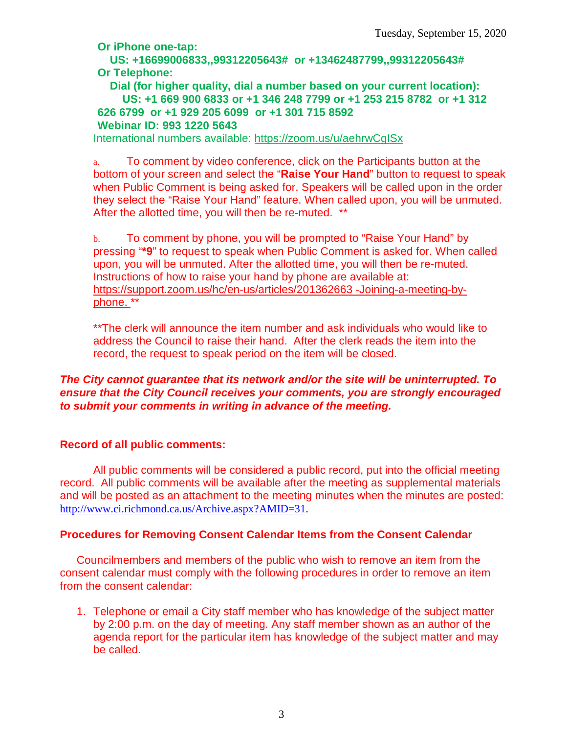**Or iPhone one-tap:**

**US: +16699006833,,99312205643# or +13462487799,,99312205643# Or Telephone:**

**Dial (for higher quality, dial a number based on your current location): US: +1 669 900 6833 or +1 346 248 7799 or +1 253 215 8782 or +1 312 626 6799 or +1 929 205 6099 or +1 301 715 8592 Webinar ID: 993 1220 5643**

International numbers available:<https://zoom.us/u/aehrwCgISx>

a. To comment by video conference, click on the Participants button at the bottom of your screen and select the "**Raise Your Hand**" button to request to speak when Public Comment is being asked for. Speakers will be called upon in the order they select the "Raise Your Hand" feature. When called upon, you will be unmuted. After the allotted time, you will then be re-muted. \*\*

b. To comment by phone, you will be prompted to "Raise Your Hand" by pressing "**\*9**" to request to speak when Public Comment is asked for. When called upon, you will be unmuted. After the allotted time, you will then be re-muted. Instructions of how to raise your hand by phone are available at: [https://support.zoom.us/hc/en-us/articles/201362663 -Joining-a-meeting-by](https://support.zoom.us/hc/en-us/articles/201362663)[phone.](https://support.zoom.us/hc/en-us/articles/201362663) \*\*

\*\*The clerk will announce the item number and ask individuals who would like to address the Council to raise their hand. After the clerk reads the item into the record, the request to speak period on the item will be closed.

#### *The City cannot guarantee that its network and/or the site will be uninterrupted. To ensure that the City Council receives your comments, you are strongly encouraged to submit your comments in writing in advance of the meeting.*

#### **Record of all public comments:**

All public comments will be considered a public record, put into the official meeting record. All public comments will be available after the meeting as supplemental materials and will be posted as an attachment to the meeting minutes when the minutes are posted: [http://www.ci.richmond.ca.us/Archive.aspx?AMID=31.](http://www.ci.richmond.ca.us/Archive.aspx?AMID=31)

#### **Procedures for Removing Consent Calendar Items from the Consent Calendar**

Councilmembers and members of the public who wish to remove an item from the consent calendar must comply with the following procedures in order to remove an item from the consent calendar:

1. Telephone or email a City staff member who has knowledge of the subject matter by 2:00 p.m. on the day of meeting. Any staff member shown as an author of the agenda report for the particular item has knowledge of the subject matter and may be called.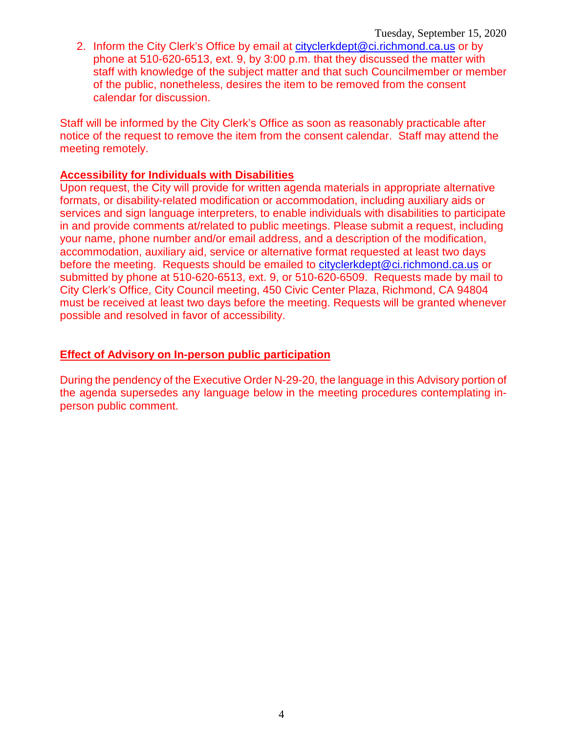2. Inform the City Clerk's Office by email at [cityclerkdept@ci.richmond.ca.us](mailto:cityclerkdept@ci.richmond.ca.us) or by phone at 510-620-6513, ext. 9, by 3:00 p.m. that they discussed the matter with staff with knowledge of the subject matter and that such Councilmember or member of the public, nonetheless, desires the item to be removed from the consent calendar for discussion.

Staff will be informed by the City Clerk's Office as soon as reasonably practicable after notice of the request to remove the item from the consent calendar. Staff may attend the meeting remotely.

#### **Accessibility for Individuals with Disabilities**

Upon request, the City will provide for written agenda materials in appropriate alternative formats, or disability-related modification or accommodation, including auxiliary aids or services and sign language interpreters, to enable individuals with disabilities to participate in and provide comments at/related to public meetings. Please submit a request, including your name, phone number and/or email address, and a description of the modification, accommodation, auxiliary aid, service or alternative format requested at least two days before the meeting. Requests should be emailed to [cityclerkdept@ci.richmond.ca.us](mailto:cityclerkdept@ci.richmond.ca.us) or submitted by phone at 510-620-6513, ext. 9, or 510-620-6509. Requests made by mail to City Clerk's Office, City Council meeting, 450 Civic Center Plaza, Richmond, CA 94804 must be received at least two days before the meeting. Requests will be granted whenever possible and resolved in favor of accessibility.

#### **Effect of Advisory on In-person public participation**

During the pendency of the Executive Order N-29-20, the language in this Advisory portion of the agenda supersedes any language below in the meeting procedures contemplating inperson public comment.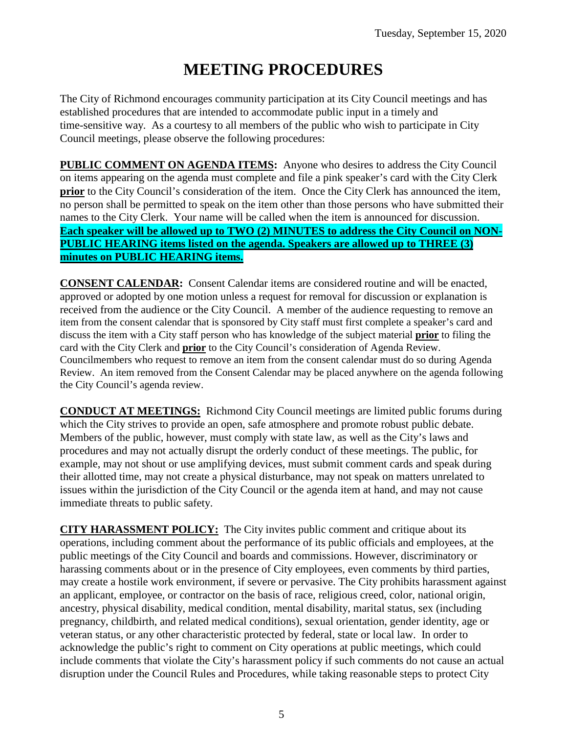# **MEETING PROCEDURES**

The City of Richmond encourages community participation at its City Council meetings and has established procedures that are intended to accommodate public input in a timely and time-sensitive way. As a courtesy to all members of the public who wish to participate in City Council meetings, please observe the following procedures:

**PUBLIC COMMENT ON AGENDA ITEMS:** Anyone who desires to address the City Council on items appearing on the agenda must complete and file a pink speaker's card with the City Clerk **prior** to the City Council's consideration of the item. Once the City Clerk has announced the item, no person shall be permitted to speak on the item other than those persons who have submitted their names to the City Clerk. Your name will be called when the item is announced for discussion. **Each speaker will be allowed up to TWO (2) MINUTES to address the City Council on NON-PUBLIC HEARING items listed on the agenda. Speakers are allowed up to THREE (3) minutes on PUBLIC HEARING items.**

**CONSENT CALENDAR:** Consent Calendar items are considered routine and will be enacted, approved or adopted by one motion unless a request for removal for discussion or explanation is received from the audience or the City Council. A member of the audience requesting to remove an item from the consent calendar that is sponsored by City staff must first complete a speaker's card and discuss the item with a City staff person who has knowledge of the subject material **prior** to filing the card with the City Clerk and **prior** to the City Council's consideration of Agenda Review. Councilmembers who request to remove an item from the consent calendar must do so during Agenda Review. An item removed from the Consent Calendar may be placed anywhere on the agenda following the City Council's agenda review.

**CONDUCT AT MEETINGS:** Richmond City Council meetings are limited public forums during which the City strives to provide an open, safe atmosphere and promote robust public debate. Members of the public, however, must comply with state law, as well as the City's laws and procedures and may not actually disrupt the orderly conduct of these meetings. The public, for example, may not shout or use amplifying devices, must submit comment cards and speak during their allotted time, may not create a physical disturbance, may not speak on matters unrelated to issues within the jurisdiction of the City Council or the agenda item at hand, and may not cause immediate threats to public safety.

**CITY HARASSMENT POLICY:** The City invites public comment and critique about its operations, including comment about the performance of its public officials and employees, at the public meetings of the City Council and boards and commissions. However, discriminatory or harassing comments about or in the presence of City employees, even comments by third parties, may create a hostile work environment, if severe or pervasive. The City prohibits harassment against an applicant, employee, or contractor on the basis of race, religious creed, color, national origin, ancestry, physical disability, medical condition, mental disability, marital status, sex (including pregnancy, childbirth, and related medical conditions), sexual orientation, gender identity, age or veteran status, or any other characteristic protected by federal, state or local law. In order to acknowledge the public's right to comment on City operations at public meetings, which could include comments that violate the City's harassment policy if such comments do not cause an actual disruption under the Council Rules and Procedures, while taking reasonable steps to protect City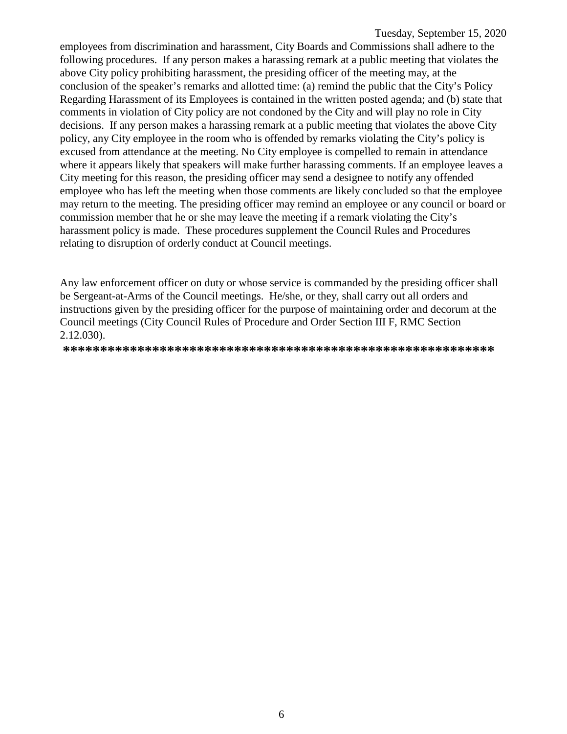employees from discrimination and harassment, City Boards and Commissions shall adhere to the following procedures. If any person makes a harassing remark at a public meeting that violates the above City policy prohibiting harassment, the presiding officer of the meeting may, at the conclusion of the speaker's remarks and allotted time: (a) remind the public that the City's Policy Regarding Harassment of its Employees is contained in the written posted agenda; and (b) state that comments in violation of City policy are not condoned by the City and will play no role in City decisions. If any person makes a harassing remark at a public meeting that violates the above City policy, any City employee in the room who is offended by remarks violating the City's policy is excused from attendance at the meeting. No City employee is compelled to remain in attendance where it appears likely that speakers will make further harassing comments. If an employee leaves a City meeting for this reason, the presiding officer may send a designee to notify any offended employee who has left the meeting when those comments are likely concluded so that the employee may return to the meeting. The presiding officer may remind an employee or any council or board or commission member that he or she may leave the meeting if a remark violating the City's harassment policy is made. These procedures supplement the Council Rules and Procedures relating to disruption of orderly conduct at Council meetings.

Any law enforcement officer on duty or whose service is commanded by the presiding officer shall be Sergeant-at-Arms of the Council meetings. He/she, or they, shall carry out all orders and instructions given by the presiding officer for the purpose of maintaining order and decorum at the Council meetings (City Council Rules of Procedure and Order Section III F, RMC Section 2.12.030).

**\*\*\*\*\*\*\*\*\*\*\*\*\*\*\*\*\*\*\*\*\*\*\*\*\*\*\*\*\*\*\*\*\*\*\*\*\*\*\*\*\*\*\*\*\*\*\*\*\*\*\*\*\*\*\*\*\*\***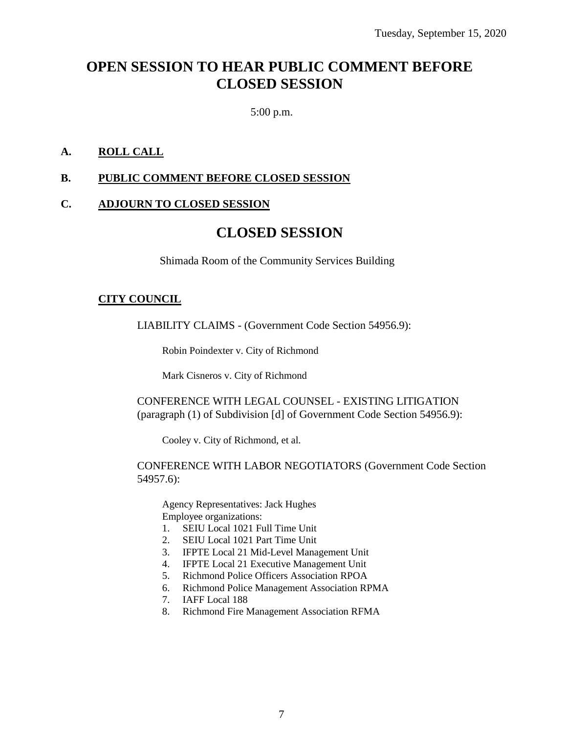### **OPEN SESSION TO HEAR PUBLIC COMMENT BEFORE CLOSED SESSION**

5:00 p.m.

#### **A. ROLL CALL**

#### **B. PUBLIC COMMENT BEFORE CLOSED SESSION**

#### **C. ADJOURN TO CLOSED SESSION**

### **CLOSED SESSION**

Shimada Room of the Community Services Building

#### **CITY COUNCIL**

LIABILITY CLAIMS - (Government Code Section 54956.9):

Robin Poindexter v. City of Richmond

Mark Cisneros v. City of Richmond

CONFERENCE WITH LEGAL COUNSEL - EXISTING LITIGATION (paragraph (1) of Subdivision [d] of Government Code Section 54956.9):

Cooley v. City of Richmond, et al.

#### CONFERENCE WITH LABOR NEGOTIATORS (Government Code Section 54957.6):

Agency Representatives: Jack Hughes Employee organizations:

- 1. SEIU Local 1021 Full Time Unit
- 2. SEIU Local 1021 Part Time Unit
- 3. IFPTE Local 21 Mid-Level Management Unit
- 4. IFPTE Local 21 Executive Management Unit
- 5. Richmond Police Officers Association RPOA
- 6. Richmond Police Management Association RPMA
- 7. IAFF Local 188
- 8. Richmond Fire Management Association RFMA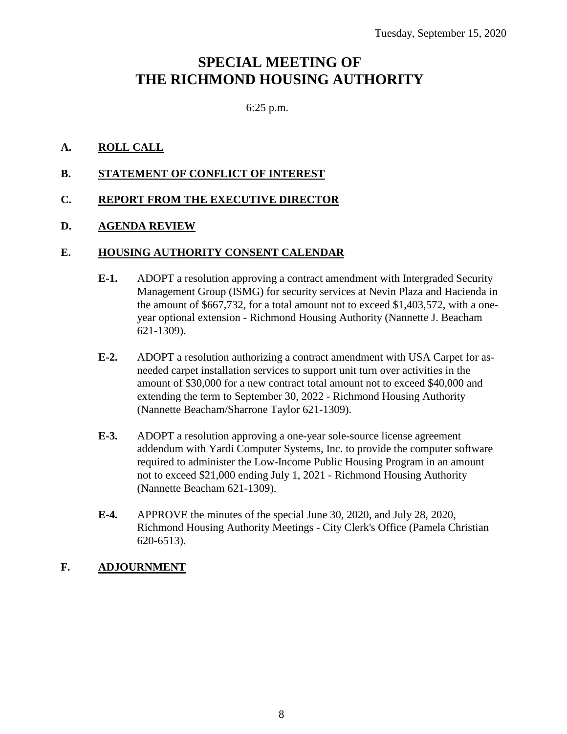## **SPECIAL MEETING OF THE RICHMOND HOUSING AUTHORITY**

#### 6:25 p.m.

#### **A. ROLL CALL**

#### **B. STATEMENT OF CONFLICT OF INTEREST**

#### **C. REPORT FROM THE EXECUTIVE DIRECTOR**

#### **D. AGENDA REVIEW**

#### **E. HOUSING AUTHORITY CONSENT CALENDAR**

- **E-1.** ADOPT a resolution approving a contract amendment with Intergraded Security Management Group (ISMG) for security services at Nevin Plaza and Hacienda in the amount of \$667,732, for a total amount not to exceed \$1,403,572, with a oneyear optional extension - Richmond Housing Authority (Nannette J. Beacham 621-1309).
- **E-2.** ADOPT a resolution authorizing a contract amendment with USA Carpet for asneeded carpet installation services to support unit turn over activities in the amount of \$30,000 for a new contract total amount not to exceed \$40,000 and extending the term to September 30, 2022 - Richmond Housing Authority (Nannette Beacham/Sharrone Taylor 621-1309).
- **E-3.** ADOPT a resolution approving a one-year sole-source license agreement addendum with Yardi Computer Systems, Inc. to provide the computer software required to administer the Low-Income Public Housing Program in an amount not to exceed \$21,000 ending July 1, 2021 - Richmond Housing Authority (Nannette Beacham 621-1309).
- **E-4.** APPROVE the minutes of the special June 30, 2020, and July 28, 2020, Richmond Housing Authority Meetings - City Clerk's Office (Pamela Christian 620-6513).

#### **F. ADJOURNMENT**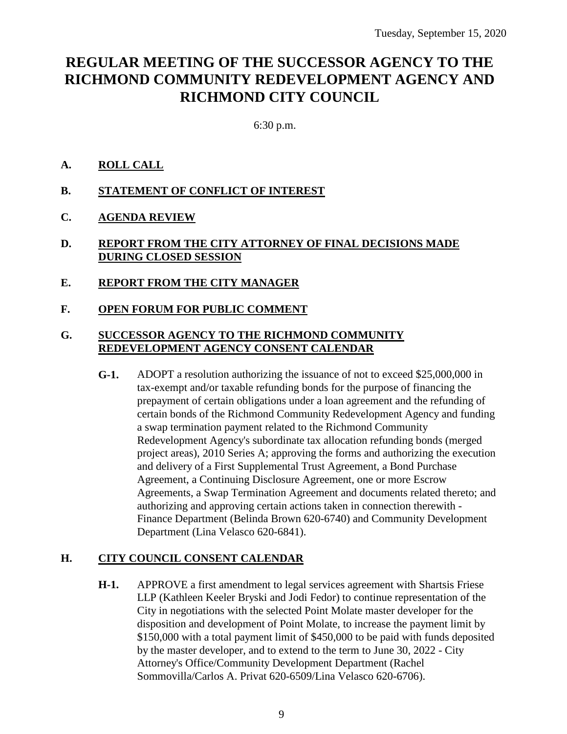## **REGULAR MEETING OF THE SUCCESSOR AGENCY TO THE RICHMOND COMMUNITY REDEVELOPMENT AGENCY AND RICHMOND CITY COUNCIL**

6:30 p.m.

#### **A. ROLL CALL**

- **B. STATEMENT OF CONFLICT OF INTEREST**
- **C. AGENDA REVIEW**
- **D. REPORT FROM THE CITY ATTORNEY OF FINAL DECISIONS MADE DURING CLOSED SESSION**
- **E. REPORT FROM THE CITY MANAGER**
- **F. OPEN FORUM FOR PUBLIC COMMENT**

#### **G. SUCCESSOR AGENCY TO THE RICHMOND COMMUNITY REDEVELOPMENT AGENCY CONSENT CALENDAR**

**G-1.** ADOPT a resolution authorizing the issuance of not to exceed \$25,000,000 in tax-exempt and/or taxable refunding bonds for the purpose of financing the prepayment of certain obligations under a loan agreement and the refunding of certain bonds of the Richmond Community Redevelopment Agency and funding a swap termination payment related to the Richmond Community Redevelopment Agency's subordinate tax allocation refunding bonds (merged project areas), 2010 Series A; approving the forms and authorizing the execution and delivery of a First Supplemental Trust Agreement, a Bond Purchase Agreement, a Continuing Disclosure Agreement, one or more Escrow Agreements, a Swap Termination Agreement and documents related thereto; and authorizing and approving certain actions taken in connection therewith - Finance Department (Belinda Brown 620-6740) and Community Development Department (Lina Velasco 620-6841).

#### **H. CITY COUNCIL CONSENT CALENDAR**

**H-1.** APPROVE a first amendment to legal services agreement with Shartsis Friese LLP (Kathleen Keeler Bryski and Jodi Fedor) to continue representation of the City in negotiations with the selected Point Molate master developer for the disposition and development of Point Molate, to increase the payment limit by \$150,000 with a total payment limit of \$450,000 to be paid with funds deposited by the master developer, and to extend to the term to June 30, 2022 - City Attorney's Office/Community Development Department (Rachel Sommovilla/Carlos A. Privat 620-6509/Lina Velasco 620-6706).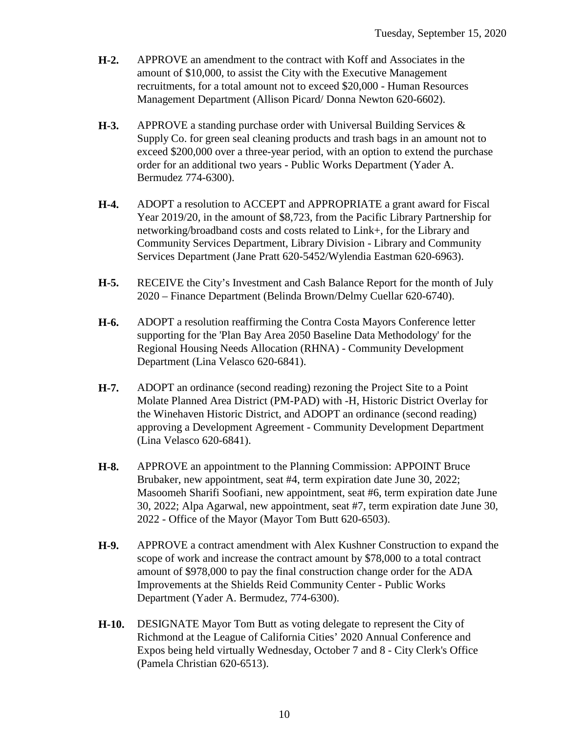- **H-2.** APPROVE an amendment to the contract with Koff and Associates in the amount of \$10,000, to assist the City with the Executive Management recruitments, for a total amount not to exceed \$20,000 - Human Resources Management Department (Allison Picard/ Donna Newton 620-6602).
- **H-3.** APPROVE a standing purchase order with Universal Building Services & Supply Co. for green seal cleaning products and trash bags in an amount not to exceed \$200,000 over a three-year period, with an option to extend the purchase order for an additional two years - Public Works Department (Yader A. Bermudez 774-6300).
- **H-4.** ADOPT a resolution to ACCEPT and APPROPRIATE a grant award for Fiscal Year 2019/20, in the amount of \$8,723, from the Pacific Library Partnership for networking/broadband costs and costs related to Link+, for the Library and Community Services Department, Library Division - Library and Community Services Department (Jane Pratt 620-5452/Wylendia Eastman 620-6963).
- **H-5.** RECEIVE the City's Investment and Cash Balance Report for the month of July 2020 – Finance Department (Belinda Brown/Delmy Cuellar 620-6740).
- **H-6.** ADOPT a resolution reaffirming the Contra Costa Mayors Conference letter supporting for the 'Plan Bay Area 2050 Baseline Data Methodology' for the Regional Housing Needs Allocation (RHNA) - Community Development Department (Lina Velasco 620-6841).
- **H-7.** ADOPT an ordinance (second reading) rezoning the Project Site to a Point Molate Planned Area District (PM-PAD) with -H, Historic District Overlay for the Winehaven Historic District, and ADOPT an ordinance (second reading) approving a Development Agreement - Community Development Department (Lina Velasco 620-6841).
- **H-8.** APPROVE an appointment to the Planning Commission: APPOINT Bruce Brubaker, new appointment, seat #4, term expiration date June 30, 2022; Masoomeh Sharifi Soofiani, new appointment, seat #6, term expiration date June 30, 2022; Alpa Agarwal, new appointment, seat #7, term expiration date June 30, 2022 - Office of the Mayor (Mayor Tom Butt 620-6503).
- **H-9.** APPROVE a contract amendment with Alex Kushner Construction to expand the scope of work and increase the contract amount by \$78,000 to a total contract amount of \$978,000 to pay the final construction change order for the ADA Improvements at the Shields Reid Community Center - Public Works Department (Yader A. Bermudez, 774-6300).
- **H-10.** DESIGNATE Mayor Tom Butt as voting delegate to represent the City of Richmond at the League of California Cities' 2020 Annual Conference and Expos being held virtually Wednesday, October 7 and 8 - City Clerk's Office (Pamela Christian 620-6513).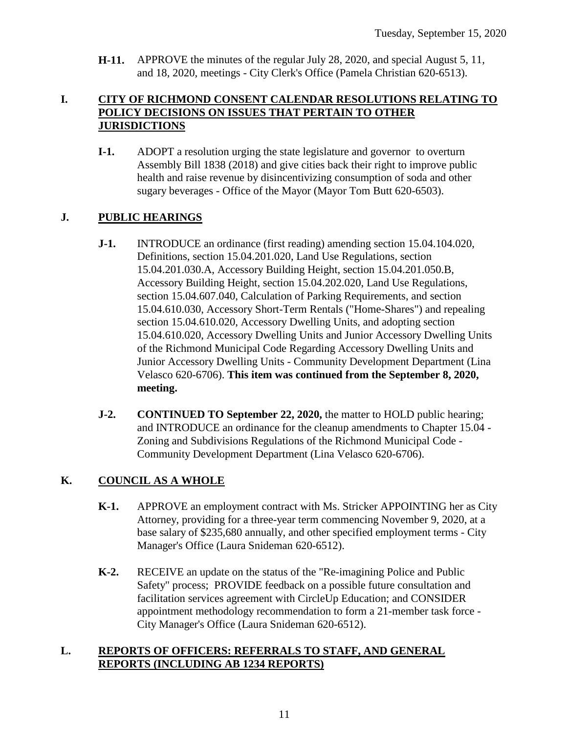**H-11.** APPROVE the minutes of the regular July 28, 2020, and special August 5, 11, and 18, 2020, meetings - City Clerk's Office (Pamela Christian 620-6513).

#### **I. CITY OF RICHMOND CONSENT CALENDAR RESOLUTIONS RELATING TO POLICY DECISIONS ON ISSUES THAT PERTAIN TO OTHER JURISDICTIONS**

**I-1.** ADOPT a resolution urging the state legislature and governor to overturn Assembly Bill 1838 (2018) and give cities back their right to improve public health and raise revenue by disincentivizing consumption of soda and other sugary beverages - Office of the Mayor (Mayor Tom Butt 620-6503).

#### **J. PUBLIC HEARINGS**

- **J-1.** INTRODUCE an ordinance (first reading) amending section 15.04.104.020, Definitions, section 15.04.201.020, Land Use Regulations, section 15.04.201.030.A, Accessory Building Height, section 15.04.201.050.B, Accessory Building Height, section 15.04.202.020, Land Use Regulations, section 15.04.607.040, Calculation of Parking Requirements, and section 15.04.610.030, Accessory Short-Term Rentals ("Home-Shares") and repealing section 15.04.610.020, Accessory Dwelling Units, and adopting section 15.04.610.020, Accessory Dwelling Units and Junior Accessory Dwelling Units of the Richmond Municipal Code Regarding Accessory Dwelling Units and Junior Accessory Dwelling Units - Community Development Department (Lina Velasco 620-6706). **This item was continued from the September 8, 2020, meeting.**
- **J-2. CONTINUED TO September 22, 2020,** the matter to HOLD public hearing; and INTRODUCE an ordinance for the cleanup amendments to Chapter 15.04 - Zoning and Subdivisions Regulations of the Richmond Municipal Code - Community Development Department (Lina Velasco 620-6706).

#### **K. COUNCIL AS A WHOLE**

- **K-1.** APPROVE an employment contract with Ms. Stricker APPOINTING her as City Attorney, providing for a three-year term commencing November 9, 2020, at a base salary of \$235,680 annually, and other specified employment terms - City Manager's Office (Laura Snideman 620-6512).
- **K-2.** RECEIVE an update on the status of the "Re-imagining Police and Public Safety" process; PROVIDE feedback on a possible future consultation and facilitation services agreement with CircleUp Education; and CONSIDER appointment methodology recommendation to form a 21-member task force - City Manager's Office (Laura Snideman 620-6512).

#### **L. REPORTS OF OFFICERS: REFERRALS TO STAFF, AND GENERAL REPORTS (INCLUDING AB 1234 REPORTS)**